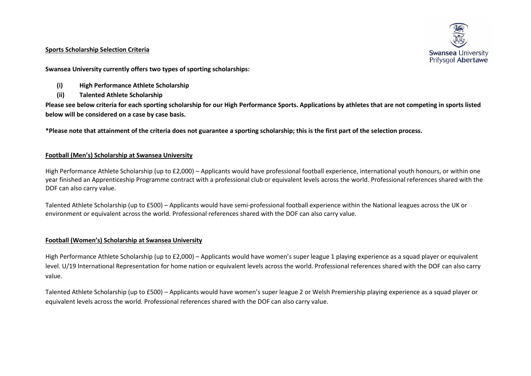#### **Sports Scholarship Selection Criteria**



**Swansea University currently offers two types of sporting scholarships:**

- **(i) High Performance Athlete Scholarship**
- **(ii) Talented Athlete Scholarship**

**Please see below criteria for each sporting scholarship for our High Performance Sports. Applications by athletes that are not competing in sports listed below will be considered on a case by case basis.** 

**\*Please note that attainment of the criteria does not guarantee a sporting scholarship; this is the first part of the selection process.** 

## **Football (Men's) Scholarship at Swansea University**

High Performance Athlete Scholarship (up to £2,000) – Applicants would have professional football experience, international youth honours, or within one year finished an Apprenticeship Programme contract with a professional club or equivalent levels across the world. Professional references shared with the DOF can also carry value.

Talented Athlete Scholarship (up to £500) – Applicants would have semi-professional football experience within the National leagues across the UK or environment or equivalent across the world. Professional references shared with the DOF can also carry value.

## **Football (Women's) Scholarship at Swansea University**

High Performance Athlete Scholarship (up to £2,000) – Applicants would have women's super league 1 playing experience as a squad player or equivalent level. U/19 International Representation for home nation or equivalent levels across the world. Professional references shared with the DOF can also carry value.

Talented Athlete Scholarship (up to £500) – Applicants would have women's super league 2 or Welsh Premiership playing experience as a squad player or equivalent levels across the world. Professional references shared with the DOF can also carry value.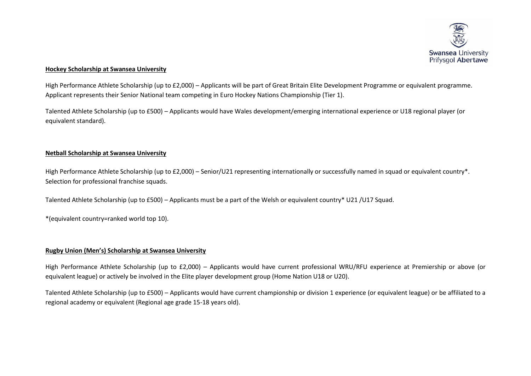

## **Hockey Scholarship at Swansea University**

High Performance Athlete Scholarship (up to £2,000) – Applicants will be part of Great Britain Elite Development Programme or equivalent programme. Applicant represents their Senior National team competing in Euro Hockey Nations Championship (Tier 1).

Talented Athlete Scholarship (up to £500) – Applicants would have Wales development/emerging international experience or U18 regional player (or equivalent standard).

## **Netball Scholarship at Swansea University**

High Performance Athlete Scholarship (up to £2,000) – Senior/U21 representing internationally or successfully named in squad or equivalent country\*. Selection for professional franchise squads.

Talented Athlete Scholarship (up to £500) – Applicants must be a part of the Welsh or equivalent country\* U21 /U17 Squad.

\*(equivalent country=ranked world top 10).

#### **Rugby Union (Men's) Scholarship at Swansea University**

High Performance Athlete Scholarship (up to £2,000) – Applicants would have current professional WRU/RFU experience at Premiership or above (or equivalent league) or actively be involved in the Elite player development group (Home Nation U18 or U20).

Talented Athlete Scholarship (up to £500) – Applicants would have current championship or division 1 experience (or equivalent league) or be affiliated to a regional academy or equivalent (Regional age grade 15-18 years old).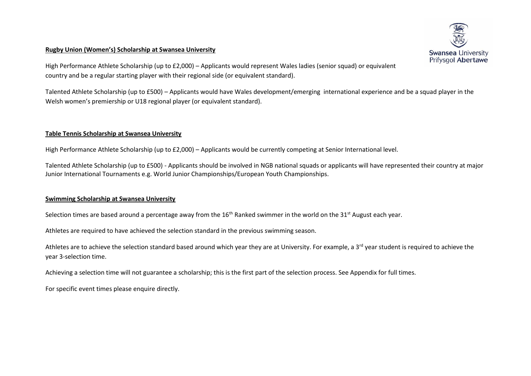#### **Rugby Union (Women's) Scholarship at Swansea University**



High Performance Athlete Scholarship (up to £2,000) – Applicants would represent Wales ladies (senior squad) or equivalent country and be a regular starting player with their regional side (or equivalent standard).

Talented Athlete Scholarship (up to £500) – Applicants would have Wales development/emerging international experience and be a squad player in the Welsh women's premiership or U18 regional player (or equivalent standard).

## **Table Tennis Scholarship at Swansea University**

High Performance Athlete Scholarship (up to £2,000) – Applicants would be currently competing at Senior International level.

Talented Athlete Scholarship (up to £500) - Applicants should be involved in NGB national squads or applicants will have represented their country at major Junior International Tournaments e.g. World Junior Championships/European Youth Championships.

#### **Swimming Scholarship at Swansea University**

Selection times are based around a percentage away from the 16<sup>th</sup> Ranked swimmer in the world on the 31<sup>st</sup> August each year.

Athletes are required to have achieved the selection standard in the previous swimming season.

Athletes are to achieve the selection standard based around which year they are at University. For example, a 3<sup>rd</sup> year student is required to achieve the year 3-selection time.

Achieving a selection time will not guarantee a scholarship; this is the first part of the selection process. See Appendix for full times.

For specific event times please enquire directly.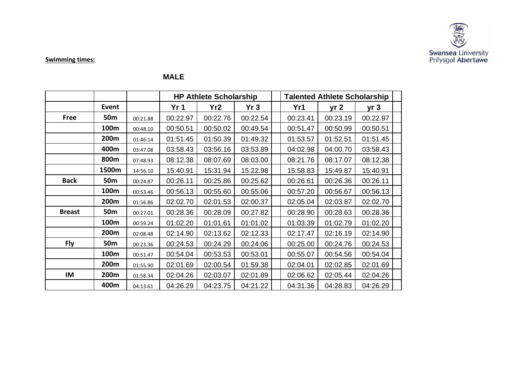

**Swimming times:** 

# **MALE**

|               |                 |          |                 | <b>HP Athlete Scholarship</b> |          | <b>Talented Athlete Scholarship</b><br>Yr1<br>yr <sub>2</sub><br>00:23.41<br>00:23.19<br>00:50.99<br>00:51.47<br>01:52.51<br>01:53.57<br>04:02.98<br>04:00.70 |          |                 |  |
|---------------|-----------------|----------|-----------------|-------------------------------|----------|---------------------------------------------------------------------------------------------------------------------------------------------------------------|----------|-----------------|--|
|               | <b>Event</b>    |          | Yr <sub>1</sub> | Yr <sub>2</sub>               | Yr3      |                                                                                                                                                               |          | yr <sub>3</sub> |  |
| <b>Free</b>   | 50 <sub>m</sub> | 00:21.88 | 00:22.97        | 00:22.76                      | 00:22.54 |                                                                                                                                                               |          | 00:22.97        |  |
|               | 100m            | 00:48.10 | 00:50.51        | 00:50.02                      | 00:49.54 |                                                                                                                                                               |          | 00:50.51        |  |
|               | 200m            | 01:46.14 | 01:51.45        | 01:50.39                      | 01:49.32 |                                                                                                                                                               |          | 01:51.45        |  |
|               | 400m            | 03:47.08 | 03:58.43        | 03:56.16                      | 03:53.89 |                                                                                                                                                               |          | 03:58.43        |  |
|               | 800m            | 07:48.93 | 08:12.38        | 08:07.69                      | 08:03.00 | 08:21.76                                                                                                                                                      | 08:17.07 | 08:12.38        |  |
|               | 1500m           | 14:56.10 | 15:40.91        | 15:31.94                      | 15:22.98 | 15:58.83                                                                                                                                                      | 15:49.87 | 15:40.91        |  |
| <b>Back</b>   | 50 <sub>m</sub> | 00:24.87 | 00:26.11        | 00:25.86                      | 00:25.62 | 00:26.61                                                                                                                                                      | 00:26.36 | 00:26.11        |  |
|               | 100m            | 00:53.46 | 00:56.13        | 00:55.60                      | 00:55.06 | 00:57.20                                                                                                                                                      | 00:56.67 | 00:56.13        |  |
|               | 200m            | 01:56.86 | 02:02.70        | 02:01.53                      | 02:00.37 | 02:05.04                                                                                                                                                      | 02:03.87 | 02:02.70        |  |
| <b>Breast</b> | 50 <sub>m</sub> | 00:27.01 | 00:28.36        | 00:28.09                      | 00:27.82 | 00:28.90                                                                                                                                                      | 00:28.63 | 00:28.36        |  |
|               | 100m            | 00:59.24 | 01:02.20        | 01:01.61                      | 01:01.02 | 01:03.39                                                                                                                                                      | 01:02.79 | 01:02.20        |  |
|               | 200m            | 02:08.48 | 02:14.90        | 02:13.62                      | 02:12.33 | 02:17.47                                                                                                                                                      | 02:16.19 | 02:14.90        |  |
| <b>Fly</b>    | 50 <sub>m</sub> | 00:23.36 | 00:24.53        | 00:24.29                      | 00:24.06 | 00:25.00                                                                                                                                                      | 00:24.76 | 00:24.53        |  |
|               | 100m            | 00:51.47 | 00:54.04        | 00:53.53                      | 00:53.01 | 00:55.07                                                                                                                                                      | 00:54.56 | 00:54.04        |  |
|               | 200m            | 01:55.90 | 02:01.69        | 02:00.54                      | 01:59.38 | 02:04.01                                                                                                                                                      | 02:02.85 | 02:01.69        |  |
| IM            | 200m            | 01:58.34 | 02:04.26        | 02:03.07                      | 02:01.89 | 02:06.62                                                                                                                                                      | 02:05.44 | 02:04.26        |  |
|               | 400m            | 04:13.61 | 04:26.29        | 04:23.75                      | 04:21.22 | 04:31.36                                                                                                                                                      | 04:28.83 | 04:26.29        |  |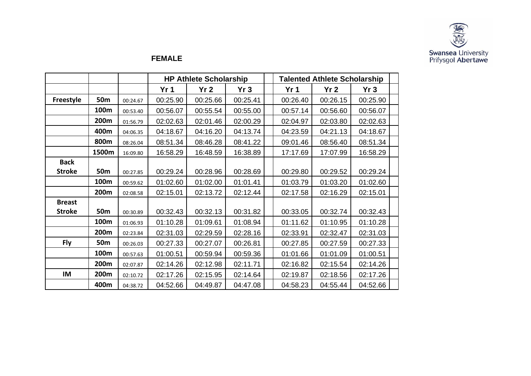

# **FEMALE**

|               |                 |          |                 | <b>HP Athlete Scholarship</b> |          | <b>Talented Athlete Scholarship</b> |                 |          |  |
|---------------|-----------------|----------|-----------------|-------------------------------|----------|-------------------------------------|-----------------|----------|--|
|               |                 |          | Yr <sub>1</sub> | Yr <sub>2</sub>               | Yr3      | Yr <sub>1</sub>                     | Yr <sub>2</sub> | Yr3      |  |
| Freestyle     | 50 <sub>m</sub> | 00:24.67 | 00:25.90        | 00:25.66                      | 00:25.41 | 00:26.40                            | 00:26.15        | 00:25.90 |  |
|               | 100m            | 00:53.40 | 00:56.07        | 00:55.54                      | 00:55.00 | 00:57.14                            | 00:56.60        | 00:56.07 |  |
|               | 200m            | 01:56.79 | 02:02.63        | 02:01.46                      | 02:00.29 | 02:04.97                            | 02:03.80        | 02:02.63 |  |
|               | 400m            | 04:06.35 | 04:18.67        | 04:16.20                      | 04:13.74 | 04:23.59                            | 04:21.13        | 04:18.67 |  |
|               | 800m            | 08:26.04 | 08:51.34        | 08:46.28                      | 08:41.22 | 09:01.46                            | 08:56.40        | 08:51.34 |  |
|               | 1500m           | 16:09.80 | 16:58.29        | 16:48.59                      | 16:38.89 | 17:17.69                            | 17:07.99        | 16:58.29 |  |
| <b>Back</b>   |                 |          |                 |                               |          |                                     |                 |          |  |
| <b>Stroke</b> | 50 <sub>m</sub> | 00:27.85 | 00:29.24        | 00:28.96                      | 00:28.69 | 00:29.80                            | 00:29.52        | 00:29.24 |  |
|               | 100m            | 00:59.62 | 01:02.60        | 01:02.00                      | 01:01.41 | 01:03.79                            | 01:03.20        | 01:02.60 |  |
|               | 200m            | 02:08.58 | 02:15.01        | 02:13.72                      | 02:12.44 | 02:17.58                            | 02:16.29        | 02:15.01 |  |
| <b>Breast</b> |                 |          |                 |                               |          |                                     |                 |          |  |
| <b>Stroke</b> | 50 <sub>m</sub> | 00:30.89 | 00:32.43        | 00:32.13                      | 00:31.82 | 00:33.05                            | 00:32.74        | 00:32.43 |  |
|               | 100m            | 01:06.93 | 01:10.28        | 01:09.61                      | 01:08.94 | 01:11.62                            | 01:10.95        | 01:10.28 |  |
|               | 200m            | 02:23.84 | 02:31.03        | 02:29.59                      | 02:28.16 | 02:33.91                            | 02:32.47        | 02:31.03 |  |
| <b>Fly</b>    | 50 <sub>m</sub> | 00:26.03 | 00:27.33        | 00:27.07                      | 00:26.81 | 00:27.85                            | 00:27.59        | 00:27.33 |  |
|               | 100m            | 00:57.63 | 01:00.51        | 00:59.94                      | 00:59.36 | 01:01.66                            | 01:01.09        | 01:00.51 |  |
|               | 200m            | 02:07.87 | 02:14.26        | 02:12.98                      | 02:11.71 | 02:16.82                            | 02:15.54        | 02:14.26 |  |
| IM            | 200m            | 02:10.72 | 02:17.26        | 02:15.95                      | 02:14.64 | 02:19.87                            | 02:18.56        | 02:17.26 |  |
|               | 400m            | 04:38.72 | 04:52.66        | 04:49.87                      | 04:47.08 | 04:58.23                            | 04:55.44        | 04:52.66 |  |